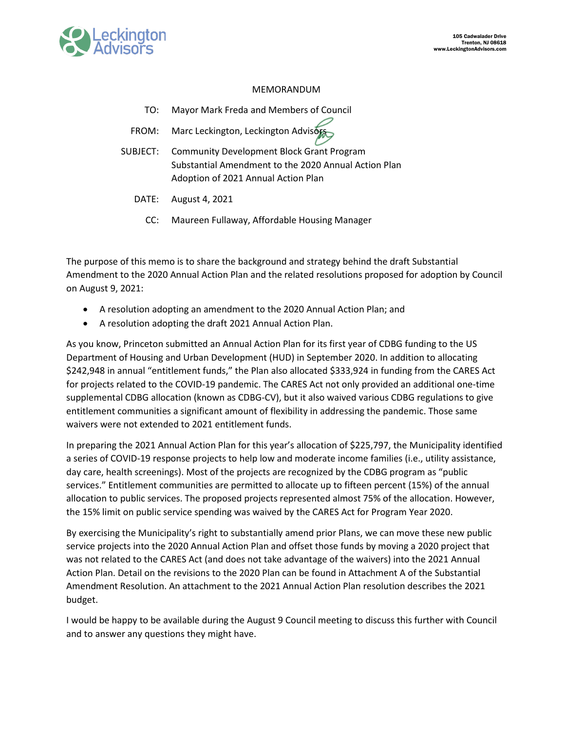

## MEMORANDUM

- TO: Mayor Mark Freda and Members of Council
- FROM: Marc Leckington, Leckington Advisors
- SUBJECT: Community Development Block Grant Program Substantial Amendment to the 2020 Annual Action Plan Adoption of 2021 Annual Action Plan
	- DATE: August 4, 2021
		- CC: Maureen Fullaway, Affordable Housing Manager

The purpose of this memo is to share the background and strategy behind the draft Substantial Amendment to the 2020 Annual Action Plan and the related resolutions proposed for adoption by Council on August 9, 2021:

- A resolution adopting an amendment to the 2020 Annual Action Plan; and
- A resolution adopting the draft 2021 Annual Action Plan.

As you know, Princeton submitted an Annual Action Plan for its first year of CDBG funding to the US Department of Housing and Urban Development (HUD) in September 2020. In addition to allocating \$242,948 in annual "entitlement funds," the Plan also allocated \$333,924 in funding from the CARES Act for projects related to the COVID-19 pandemic. The CARES Act not only provided an additional one-time supplemental CDBG allocation (known as CDBG-CV), but it also waived various CDBG regulations to give entitlement communities a significant amount of flexibility in addressing the pandemic. Those same waivers were not extended to 2021 entitlement funds.

In preparing the 2021 Annual Action Plan for this year's allocation of \$225,797, the Municipality identified a series of COVID-19 response projects to help low and moderate income families (i.e., utility assistance, day care, health screenings). Most of the projects are recognized by the CDBG program as "public services." Entitlement communities are permitted to allocate up to fifteen percent (15%) of the annual allocation to public services. The proposed projects represented almost 75% of the allocation. However, the 15% limit on public service spending was waived by the CARES Act for Program Year 2020.

By exercising the Municipality's right to substantially amend prior Plans, we can move these new public service projects into the 2020 Annual Action Plan and offset those funds by moving a 2020 project that was not related to the CARES Act (and does not take advantage of the waivers) into the 2021 Annual Action Plan. Detail on the revisions to the 2020 Plan can be found in Attachment A of the Substantial Amendment Resolution. An attachment to the 2021 Annual Action Plan resolution describes the 2021 budget.

I would be happy to be available during the August 9 Council meeting to discuss this further with Council and to answer any questions they might have.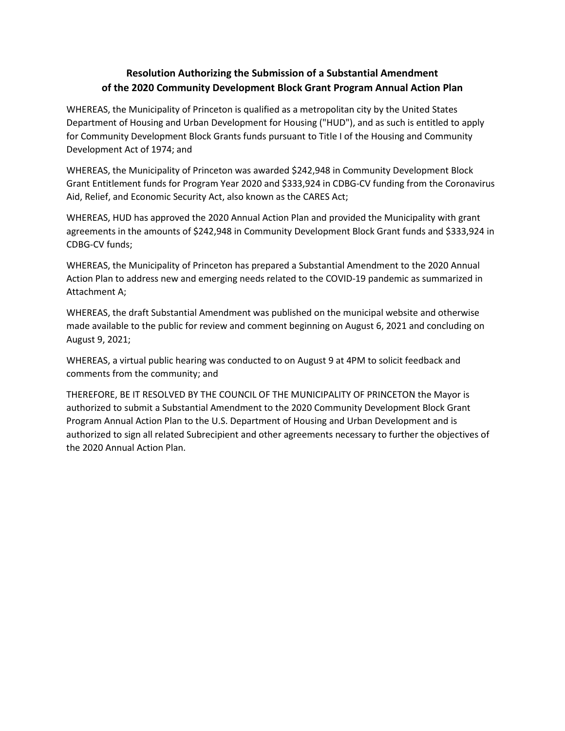## **Resolution Authorizing the Submission of a Substantial Amendment of the 2020 Community Development Block Grant Program Annual Action Plan**

WHEREAS, the Municipality of Princeton is qualified as a metropolitan city by the United States Department of Housing and Urban Development for Housing ("HUD"), and as such is entitled to apply for Community Development Block Grants funds pursuant to Title I of the Housing and Community Development Act of 1974; and

WHEREAS, the Municipality of Princeton was awarded \$242,948 in Community Development Block Grant Entitlement funds for Program Year 2020 and \$333,924 in CDBG-CV funding from the Coronavirus Aid, Relief, and Economic Security Act, also known as the CARES Act;

WHEREAS, HUD has approved the 2020 Annual Action Plan and provided the Municipality with grant agreements in the amounts of \$242,948 in Community Development Block Grant funds and \$333,924 in CDBG-CV funds;

WHEREAS, the Municipality of Princeton has prepared a Substantial Amendment to the 2020 Annual Action Plan to address new and emerging needs related to the COVID-19 pandemic as summarized in Attachment A;

WHEREAS, the draft Substantial Amendment was published on the municipal website and otherwise made available to the public for review and comment beginning on August 6, 2021 and concluding on August 9, 2021;

WHEREAS, a virtual public hearing was conducted to on August 9 at 4PM to solicit feedback and comments from the community; and

THEREFORE, BE IT RESOLVED BY THE COUNCIL OF THE MUNICIPALITY OF PRINCETON the Mayor is authorized to submit a Substantial Amendment to the 2020 Community Development Block Grant Program Annual Action Plan to the U.S. Department of Housing and Urban Development and is authorized to sign all related Subrecipient and other agreements necessary to further the objectives of the 2020 Annual Action Plan.